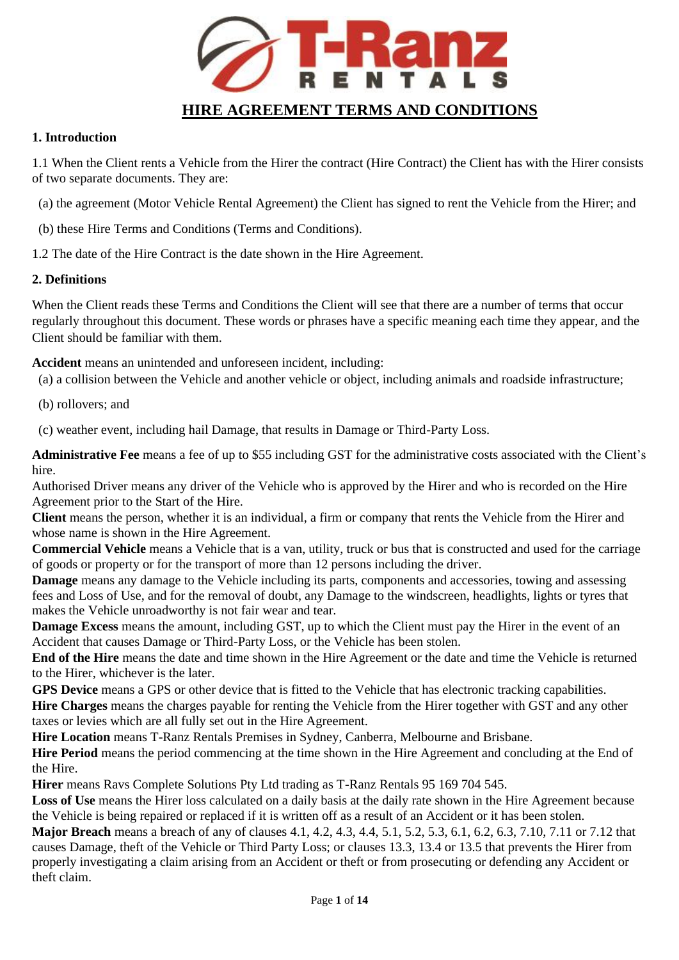

### **1. Introduction**

1.1 When the Client rents a Vehicle from the Hirer the contract (Hire Contract) the Client has with the Hirer consists of two separate documents. They are:

- (a) the agreement (Motor Vehicle Rental Agreement) the Client has signed to rent the Vehicle from the Hirer; and
- (b) these Hire Terms and Conditions (Terms and Conditions).

1.2 The date of the Hire Contract is the date shown in the Hire Agreement.

## **2. Definitions**

When the Client reads these Terms and Conditions the Client will see that there are a number of terms that occur regularly throughout this document. These words or phrases have a specific meaning each time they appear, and the Client should be familiar with them.

**Accident** means an unintended and unforeseen incident, including:

- (a) a collision between the Vehicle and another vehicle or object, including animals and roadside infrastructure;
- (b) rollovers; and

(c) weather event, including hail Damage, that results in Damage or Third-Party Loss.

**Administrative Fee** means a fee of up to \$55 including GST for the administrative costs associated with the Client's hire.

Authorised Driver means any driver of the Vehicle who is approved by the Hirer and who is recorded on the Hire Agreement prior to the Start of the Hire.

**Client** means the person, whether it is an individual, a firm or company that rents the Vehicle from the Hirer and whose name is shown in the Hire Agreement.

**Commercial Vehicle** means a Vehicle that is a van, utility, truck or bus that is constructed and used for the carriage of goods or property or for the transport of more than 12 persons including the driver.

**Damage** means any damage to the Vehicle including its parts, components and accessories, towing and assessing fees and Loss of Use, and for the removal of doubt, any Damage to the windscreen, headlights, lights or tyres that makes the Vehicle unroadworthy is not fair wear and tear.

**Damage Excess** means the amount, including GST, up to which the Client must pay the Hirer in the event of an Accident that causes Damage or Third-Party Loss, or the Vehicle has been stolen.

**End of the Hire** means the date and time shown in the Hire Agreement or the date and time the Vehicle is returned to the Hirer, whichever is the later.

**GPS Device** means a GPS or other device that is fitted to the Vehicle that has electronic tracking capabilities. **Hire Charges** means the charges payable for renting the Vehicle from the Hirer together with GST and any other taxes or levies which are all fully set out in the Hire Agreement.

**Hire Location** means T-Ranz Rentals Premises in Sydney, Canberra, Melbourne and Brisbane.

**Hire Period** means the period commencing at the time shown in the Hire Agreement and concluding at the End of the Hire.

**Hirer** means Ravs Complete Solutions Pty Ltd trading as T-Ranz Rentals 95 169 704 545.

Loss of Use means the Hirer loss calculated on a daily basis at the daily rate shown in the Hire Agreement because the Vehicle is being repaired or replaced if it is written off as a result of an Accident or it has been stolen.

**Major Breach** means a breach of any of clauses 4.1, 4.2, 4.3, 4.4, 5.1, 5.2, 5.3, 6.1, 6.2, 6.3, 7.10, 7.11 or 7.12 that causes Damage, theft of the Vehicle or Third Party Loss; or clauses 13.3, 13.4 or 13.5 that prevents the Hirer from properly investigating a claim arising from an Accident or theft or from prosecuting or defending any Accident or theft claim.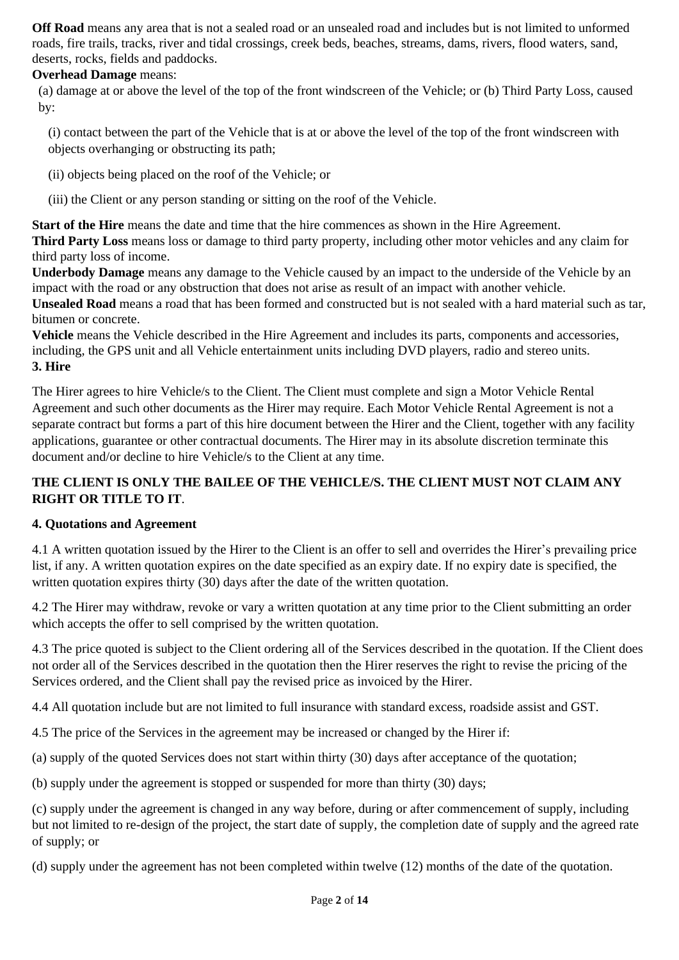**Off Road** means any area that is not a sealed road or an unsealed road and includes but is not limited to unformed roads, fire trails, tracks, river and tidal crossings, creek beds, beaches, streams, dams, rivers, flood waters, sand, deserts, rocks, fields and paddocks.

## **Overhead Damage** means:

(a) damage at or above the level of the top of the front windscreen of the Vehicle; or (b) Third Party Loss, caused by:

(i) contact between the part of the Vehicle that is at or above the level of the top of the front windscreen with objects overhanging or obstructing its path;

(ii) objects being placed on the roof of the Vehicle; or

(iii) the Client or any person standing or sitting on the roof of the Vehicle.

**Start of the Hire** means the date and time that the hire commences as shown in the Hire Agreement.

**Third Party Loss** means loss or damage to third party property, including other motor vehicles and any claim for third party loss of income.

**Underbody Damage** means any damage to the Vehicle caused by an impact to the underside of the Vehicle by an impact with the road or any obstruction that does not arise as result of an impact with another vehicle.

**Unsealed Road** means a road that has been formed and constructed but is not sealed with a hard material such as tar, bitumen or concrete.

**Vehicle** means the Vehicle described in the Hire Agreement and includes its parts, components and accessories, including, the GPS unit and all Vehicle entertainment units including DVD players, radio and stereo units. **3. Hire** 

The Hirer agrees to hire Vehicle/s to the Client. The Client must complete and sign a Motor Vehicle Rental Agreement and such other documents as the Hirer may require. Each Motor Vehicle Rental Agreement is not a separate contract but forms a part of this hire document between the Hirer and the Client, together with any facility applications, guarantee or other contractual documents. The Hirer may in its absolute discretion terminate this document and/or decline to hire Vehicle/s to the Client at any time.

# **THE CLIENT IS ONLY THE BAILEE OF THE VEHICLE/S. THE CLIENT MUST NOT CLAIM ANY RIGHT OR TITLE TO IT**.

## **4. Quotations and Agreement**

4.1 A written quotation issued by the Hirer to the Client is an offer to sell and overrides the Hirer's prevailing price list, if any. A written quotation expires on the date specified as an expiry date. If no expiry date is specified, the written quotation expires thirty (30) days after the date of the written quotation.

4.2 The Hirer may withdraw, revoke or vary a written quotation at any time prior to the Client submitting an order which accepts the offer to sell comprised by the written quotation.

4.3 The price quoted is subject to the Client ordering all of the Services described in the quotation. If the Client does not order all of the Services described in the quotation then the Hirer reserves the right to revise the pricing of the Services ordered, and the Client shall pay the revised price as invoiced by the Hirer.

4.4 All quotation include but are not limited to full insurance with standard excess, roadside assist and GST.

4.5 The price of the Services in the agreement may be increased or changed by the Hirer if:

(a) supply of the quoted Services does not start within thirty (30) days after acceptance of the quotation;

(b) supply under the agreement is stopped or suspended for more than thirty (30) days;

(c) supply under the agreement is changed in any way before, during or after commencement of supply, including but not limited to re-design of the project, the start date of supply, the completion date of supply and the agreed rate of supply; or

(d) supply under the agreement has not been completed within twelve (12) months of the date of the quotation.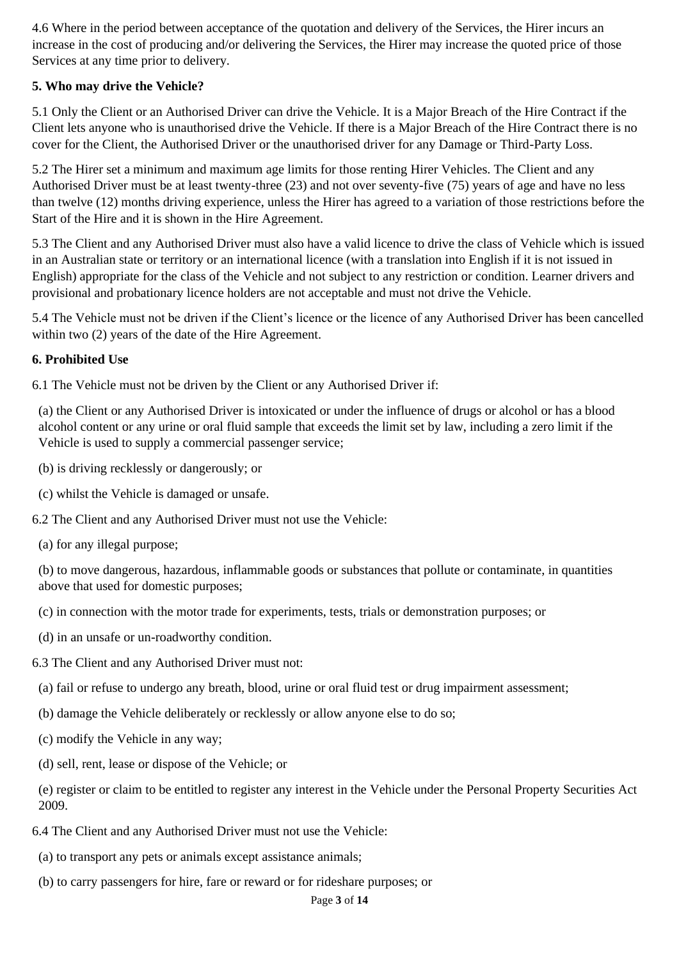4.6 Where in the period between acceptance of the quotation and delivery of the Services, the Hirer incurs an increase in the cost of producing and/or delivering the Services, the Hirer may increase the quoted price of those Services at any time prior to delivery.

# **5. Who may drive the Vehicle?**

5.1 Only the Client or an Authorised Driver can drive the Vehicle. It is a Major Breach of the Hire Contract if the Client lets anyone who is unauthorised drive the Vehicle. If there is a Major Breach of the Hire Contract there is no cover for the Client, the Authorised Driver or the unauthorised driver for any Damage or Third-Party Loss.

5.2 The Hirer set a minimum and maximum age limits for those renting Hirer Vehicles. The Client and any Authorised Driver must be at least twenty-three (23) and not over seventy-five (75) years of age and have no less than twelve (12) months driving experience, unless the Hirer has agreed to a variation of those restrictions before the Start of the Hire and it is shown in the Hire Agreement.

5.3 The Client and any Authorised Driver must also have a valid licence to drive the class of Vehicle which is issued in an Australian state or territory or an international licence (with a translation into English if it is not issued in English) appropriate for the class of the Vehicle and not subject to any restriction or condition. Learner drivers and provisional and probationary licence holders are not acceptable and must not drive the Vehicle.

5.4 The Vehicle must not be driven if the Client's licence or the licence of any Authorised Driver has been cancelled within two (2) years of the date of the Hire Agreement.

### **6. Prohibited Use**

6.1 The Vehicle must not be driven by the Client or any Authorised Driver if:

(a) the Client or any Authorised Driver is intoxicated or under the influence of drugs or alcohol or has a blood alcohol content or any urine or oral fluid sample that exceeds the limit set by law, including a zero limit if the Vehicle is used to supply a commercial passenger service;

- (b) is driving recklessly or dangerously; or
- (c) whilst the Vehicle is damaged or unsafe.

6.2 The Client and any Authorised Driver must not use the Vehicle:

(a) for any illegal purpose;

(b) to move dangerous, hazardous, inflammable goods or substances that pollute or contaminate, in quantities above that used for domestic purposes;

- (c) in connection with the motor trade for experiments, tests, trials or demonstration purposes; or
- (d) in an unsafe or un-roadworthy condition.
- 6.3 The Client and any Authorised Driver must not:
- (a) fail or refuse to undergo any breath, blood, urine or oral fluid test or drug impairment assessment;
- (b) damage the Vehicle deliberately or recklessly or allow anyone else to do so;
- (c) modify the Vehicle in any way;
- (d) sell, rent, lease or dispose of the Vehicle; or

(e) register or claim to be entitled to register any interest in the Vehicle under the Personal Property Securities Act 2009.

- 6.4 The Client and any Authorised Driver must not use the Vehicle:
- (a) to transport any pets or animals except assistance animals;
- (b) to carry passengers for hire, fare or reward or for rideshare purposes; or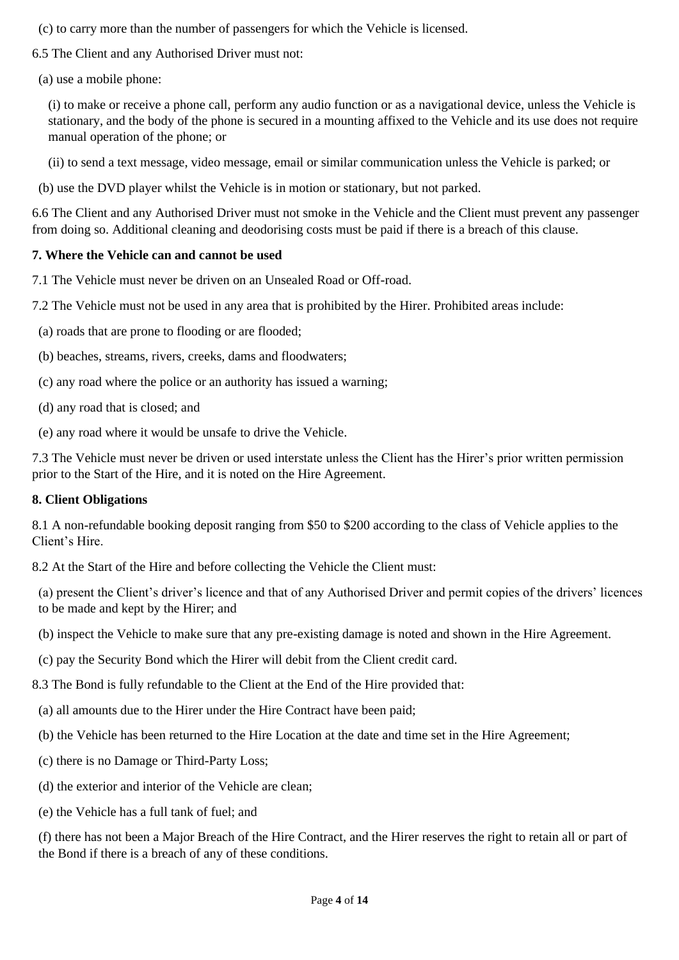- (c) to carry more than the number of passengers for which the Vehicle is licensed.
- 6.5 The Client and any Authorised Driver must not:
- (a) use a mobile phone:

(i) to make or receive a phone call, perform any audio function or as a navigational device, unless the Vehicle is stationary, and the body of the phone is secured in a mounting affixed to the Vehicle and its use does not require manual operation of the phone; or

(ii) to send a text message, video message, email or similar communication unless the Vehicle is parked; or

(b) use the DVD player whilst the Vehicle is in motion or stationary, but not parked.

6.6 The Client and any Authorised Driver must not smoke in the Vehicle and the Client must prevent any passenger from doing so. Additional cleaning and deodorising costs must be paid if there is a breach of this clause.

#### **7. Where the Vehicle can and cannot be used**

7.1 The Vehicle must never be driven on an Unsealed Road or Off-road.

- 7.2 The Vehicle must not be used in any area that is prohibited by the Hirer. Prohibited areas include:
- (a) roads that are prone to flooding or are flooded;
- (b) beaches, streams, rivers, creeks, dams and floodwaters;
- (c) any road where the police or an authority has issued a warning;
- (d) any road that is closed; and
- (e) any road where it would be unsafe to drive the Vehicle.

7.3 The Vehicle must never be driven or used interstate unless the Client has the Hirer's prior written permission prior to the Start of the Hire, and it is noted on the Hire Agreement.

#### **8. Client Obligations**

8.1 A non-refundable booking deposit ranging from \$50 to \$200 according to the class of Vehicle applies to the Client's Hire.

8.2 At the Start of the Hire and before collecting the Vehicle the Client must:

(a) present the Client's driver's licence and that of any Authorised Driver and permit copies of the drivers' licences to be made and kept by the Hirer; and

- (b) inspect the Vehicle to make sure that any pre-existing damage is noted and shown in the Hire Agreement.
- (c) pay the Security Bond which the Hirer will debit from the Client credit card.

8.3 The Bond is fully refundable to the Client at the End of the Hire provided that:

- (a) all amounts due to the Hirer under the Hire Contract have been paid;
- (b) the Vehicle has been returned to the Hire Location at the date and time set in the Hire Agreement;
- (c) there is no Damage or Third-Party Loss;
- (d) the exterior and interior of the Vehicle are clean;
- (e) the Vehicle has a full tank of fuel; and

(f) there has not been a Major Breach of the Hire Contract, and the Hirer reserves the right to retain all or part of the Bond if there is a breach of any of these conditions.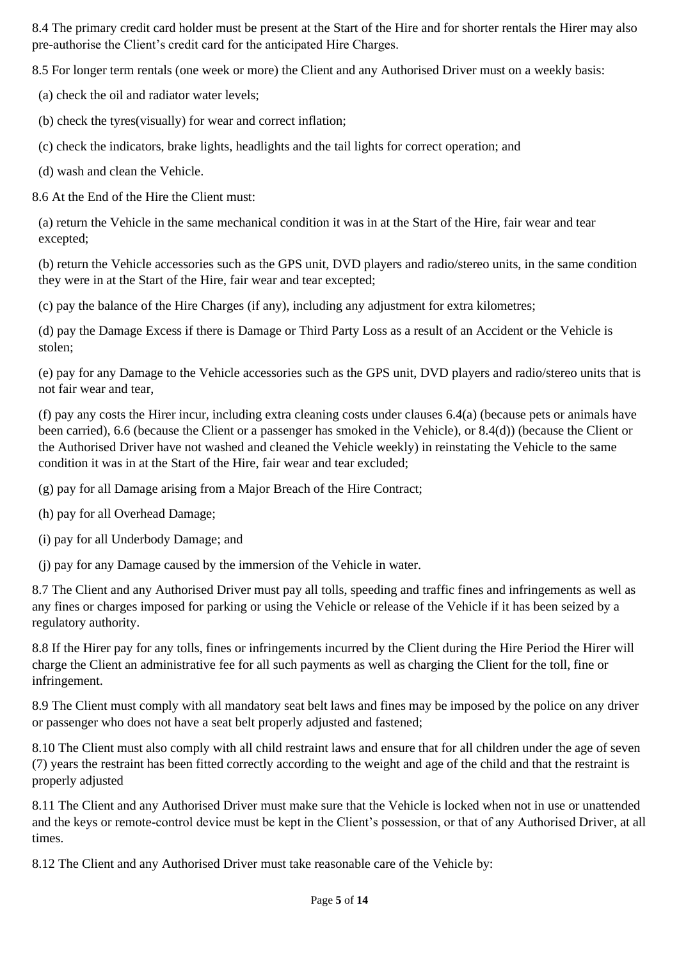8.4 The primary credit card holder must be present at the Start of the Hire and for shorter rentals the Hirer may also pre-authorise the Client's credit card for the anticipated Hire Charges.

8.5 For longer term rentals (one week or more) the Client and any Authorised Driver must on a weekly basis:

(a) check the oil and radiator water levels;

- (b) check the tyres(visually) for wear and correct inflation;
- (c) check the indicators, brake lights, headlights and the tail lights for correct operation; and
- (d) wash and clean the Vehicle.

8.6 At the End of the Hire the Client must:

(a) return the Vehicle in the same mechanical condition it was in at the Start of the Hire, fair wear and tear excepted;

(b) return the Vehicle accessories such as the GPS unit, DVD players and radio/stereo units, in the same condition they were in at the Start of the Hire, fair wear and tear excepted;

(c) pay the balance of the Hire Charges (if any), including any adjustment for extra kilometres;

(d) pay the Damage Excess if there is Damage or Third Party Loss as a result of an Accident or the Vehicle is stolen;

(e) pay for any Damage to the Vehicle accessories such as the GPS unit, DVD players and radio/stereo units that is not fair wear and tear,

(f) pay any costs the Hirer incur, including extra cleaning costs under clauses 6.4(a) (because pets or animals have been carried), 6.6 (because the Client or a passenger has smoked in the Vehicle), or 8.4(d)) (because the Client or the Authorised Driver have not washed and cleaned the Vehicle weekly) in reinstating the Vehicle to the same condition it was in at the Start of the Hire, fair wear and tear excluded;

(g) pay for all Damage arising from a Major Breach of the Hire Contract;

- (h) pay for all Overhead Damage;
- (i) pay for all Underbody Damage; and
- (j) pay for any Damage caused by the immersion of the Vehicle in water.

8.7 The Client and any Authorised Driver must pay all tolls, speeding and traffic fines and infringements as well as any fines or charges imposed for parking or using the Vehicle or release of the Vehicle if it has been seized by a regulatory authority.

8.8 If the Hirer pay for any tolls, fines or infringements incurred by the Client during the Hire Period the Hirer will charge the Client an administrative fee for all such payments as well as charging the Client for the toll, fine or infringement.

8.9 The Client must comply with all mandatory seat belt laws and fines may be imposed by the police on any driver or passenger who does not have a seat belt properly adjusted and fastened;

8.10 The Client must also comply with all child restraint laws and ensure that for all children under the age of seven (7) years the restraint has been fitted correctly according to the weight and age of the child and that the restraint is properly adjusted

8.11 The Client and any Authorised Driver must make sure that the Vehicle is locked when not in use or unattended and the keys or remote-control device must be kept in the Client's possession, or that of any Authorised Driver, at all times.

8.12 The Client and any Authorised Driver must take reasonable care of the Vehicle by: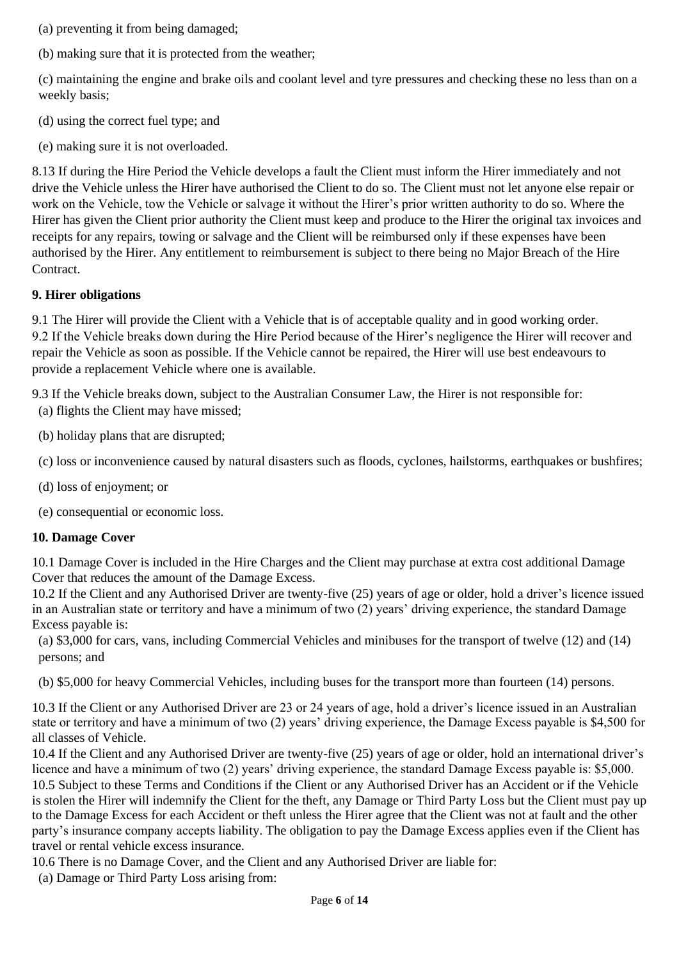(a) preventing it from being damaged;

(b) making sure that it is protected from the weather;

(c) maintaining the engine and brake oils and coolant level and tyre pressures and checking these no less than on a weekly basis;

- (d) using the correct fuel type; and
- (e) making sure it is not overloaded.

8.13 If during the Hire Period the Vehicle develops a fault the Client must inform the Hirer immediately and not drive the Vehicle unless the Hirer have authorised the Client to do so. The Client must not let anyone else repair or work on the Vehicle, tow the Vehicle or salvage it without the Hirer's prior written authority to do so. Where the Hirer has given the Client prior authority the Client must keep and produce to the Hirer the original tax invoices and receipts for any repairs, towing or salvage and the Client will be reimbursed only if these expenses have been authorised by the Hirer. Any entitlement to reimbursement is subject to there being no Major Breach of the Hire Contract.

### **9. Hirer obligations**

9.1 The Hirer will provide the Client with a Vehicle that is of acceptable quality and in good working order. 9.2 If the Vehicle breaks down during the Hire Period because of the Hirer's negligence the Hirer will recover and repair the Vehicle as soon as possible. If the Vehicle cannot be repaired, the Hirer will use best endeavours to provide a replacement Vehicle where one is available.

9.3 If the Vehicle breaks down, subject to the Australian Consumer Law, the Hirer is not responsible for: (a) flights the Client may have missed;

- (b) holiday plans that are disrupted;
- (c) loss or inconvenience caused by natural disasters such as floods, cyclones, hailstorms, earthquakes or bushfires;
- (d) loss of enjoyment; or
- (e) consequential or economic loss.

## **10. Damage Cover**

10.1 Damage Cover is included in the Hire Charges and the Client may purchase at extra cost additional Damage Cover that reduces the amount of the Damage Excess.

10.2 If the Client and any Authorised Driver are twenty-five (25) years of age or older, hold a driver's licence issued in an Australian state or territory and have a minimum of two (2) years' driving experience, the standard Damage Excess payable is:

(a) \$3,000 for cars, vans, including Commercial Vehicles and minibuses for the transport of twelve (12) and (14) persons; and

(b) \$5,000 for heavy Commercial Vehicles, including buses for the transport more than fourteen (14) persons.

10.3 If the Client or any Authorised Driver are 23 or 24 years of age, hold a driver's licence issued in an Australian state or territory and have a minimum of two (2) years' driving experience, the Damage Excess payable is \$4,500 for all classes of Vehicle.

10.4 If the Client and any Authorised Driver are twenty-five (25) years of age or older, hold an international driver's licence and have a minimum of two (2) years' driving experience, the standard Damage Excess payable is: \$5,000. 10.5 Subject to these Terms and Conditions if the Client or any Authorised Driver has an Accident or if the Vehicle is stolen the Hirer will indemnify the Client for the theft, any Damage or Third Party Loss but the Client must pay up to the Damage Excess for each Accident or theft unless the Hirer agree that the Client was not at fault and the other party's insurance company accepts liability. The obligation to pay the Damage Excess applies even if the Client has travel or rental vehicle excess insurance.

10.6 There is no Damage Cover, and the Client and any Authorised Driver are liable for:

(a) Damage or Third Party Loss arising from: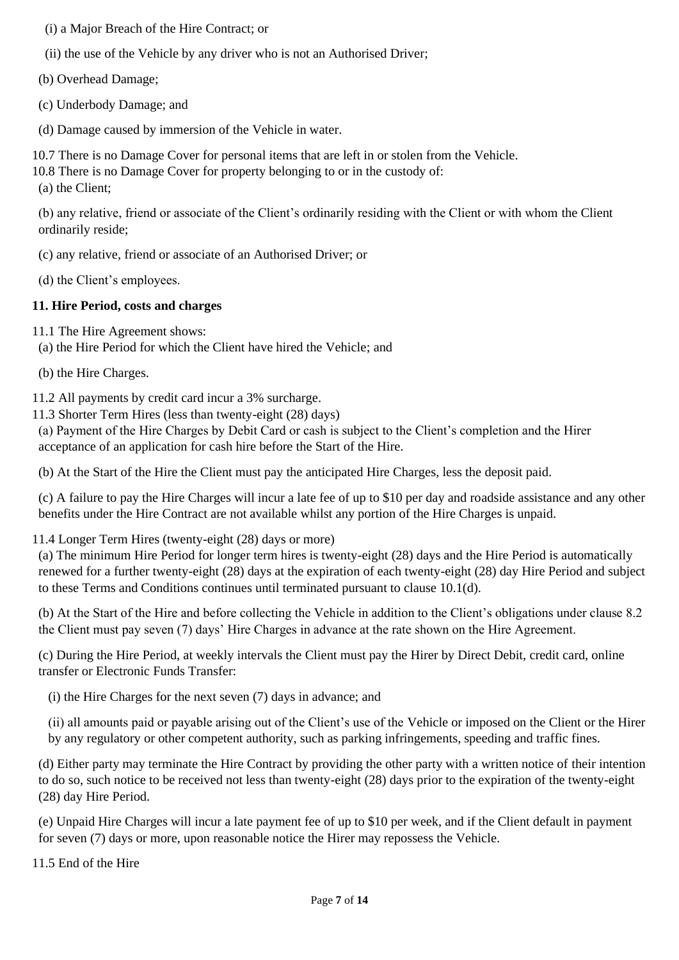(i) a Major Breach of the Hire Contract; or

(ii) the use of the Vehicle by any driver who is not an Authorised Driver;

(b) Overhead Damage;

(c) Underbody Damage; and

(d) Damage caused by immersion of the Vehicle in water.

10.7 There is no Damage Cover for personal items that are left in or stolen from the Vehicle.

10.8 There is no Damage Cover for property belonging to or in the custody of:

(a) the Client;

(b) any relative, friend or associate of the Client's ordinarily residing with the Client or with whom the Client ordinarily reside;

(c) any relative, friend or associate of an Authorised Driver; or

(d) the Client's employees.

### **11. Hire Period, costs and charges**

11.1 The Hire Agreement shows:

(a) the Hire Period for which the Client have hired the Vehicle; and

(b) the Hire Charges.

11.2 All payments by credit card incur a 3% surcharge.

11.3 Shorter Term Hires (less than twenty-eight (28) days)

(a) Payment of the Hire Charges by Debit Card or cash is subject to the Client's completion and the Hirer acceptance of an application for cash hire before the Start of the Hire.

(b) At the Start of the Hire the Client must pay the anticipated Hire Charges, less the deposit paid.

(c) A failure to pay the Hire Charges will incur a late fee of up to \$10 per day and roadside assistance and any other benefits under the Hire Contract are not available whilst any portion of the Hire Charges is unpaid.

#### 11.4 Longer Term Hires (twenty-eight (28) days or more)

(a) The minimum Hire Period for longer term hires is twenty-eight (28) days and the Hire Period is automatically renewed for a further twenty-eight (28) days at the expiration of each twenty-eight (28) day Hire Period and subject to these Terms and Conditions continues until terminated pursuant to clause 10.1(d).

(b) At the Start of the Hire and before collecting the Vehicle in addition to the Client's obligations under clause 8.2 the Client must pay seven (7) days' Hire Charges in advance at the rate shown on the Hire Agreement.

(c) During the Hire Period, at weekly intervals the Client must pay the Hirer by Direct Debit, credit card, online transfer or Electronic Funds Transfer:

(i) the Hire Charges for the next seven (7) days in advance; and

(ii) all amounts paid or payable arising out of the Client's use of the Vehicle or imposed on the Client or the Hirer by any regulatory or other competent authority, such as parking infringements, speeding and traffic fines.

(d) Either party may terminate the Hire Contract by providing the other party with a written notice of their intention to do so, such notice to be received not less than twenty-eight (28) days prior to the expiration of the twenty-eight (28) day Hire Period.

(e) Unpaid Hire Charges will incur a late payment fee of up to \$10 per week, and if the Client default in payment for seven (7) days or more, upon reasonable notice the Hirer may repossess the Vehicle.

11.5 End of the Hire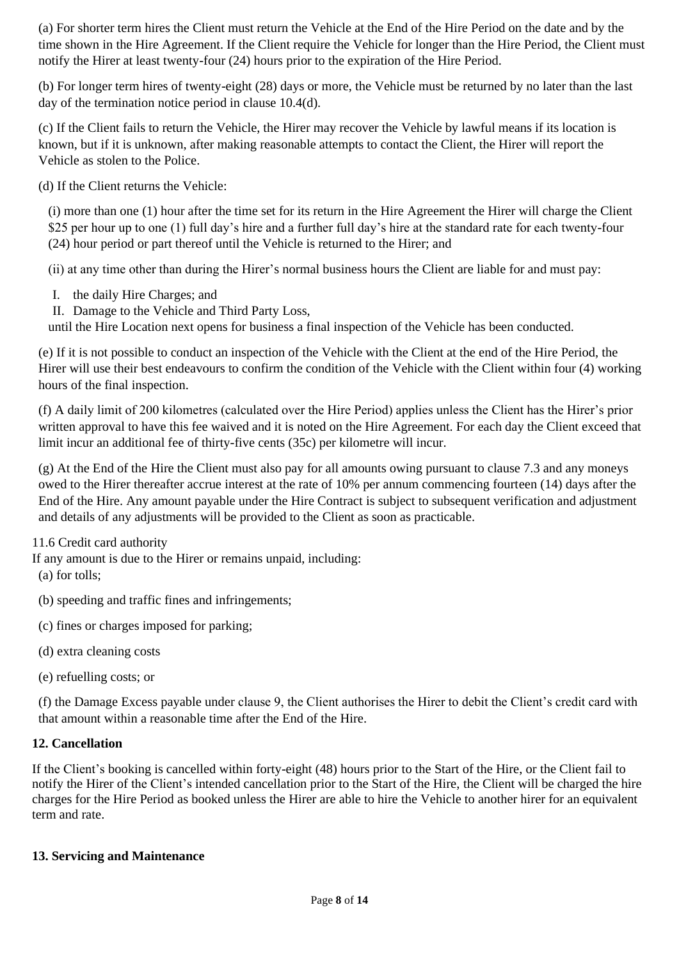(a) For shorter term hires the Client must return the Vehicle at the End of the Hire Period on the date and by the time shown in the Hire Agreement. If the Client require the Vehicle for longer than the Hire Period, the Client must notify the Hirer at least twenty-four (24) hours prior to the expiration of the Hire Period.

(b) For longer term hires of twenty-eight (28) days or more, the Vehicle must be returned by no later than the last day of the termination notice period in clause 10.4(d).

(c) If the Client fails to return the Vehicle, the Hirer may recover the Vehicle by lawful means if its location is known, but if it is unknown, after making reasonable attempts to contact the Client, the Hirer will report the Vehicle as stolen to the Police.

(d) If the Client returns the Vehicle:

(i) more than one (1) hour after the time set for its return in the Hire Agreement the Hirer will charge the Client \$25 per hour up to one (1) full day's hire and a further full day's hire at the standard rate for each twenty-four (24) hour period or part thereof until the Vehicle is returned to the Hirer; and

(ii) at any time other than during the Hirer's normal business hours the Client are liable for and must pay:

- I. the daily Hire Charges; and
- II. Damage to the Vehicle and Third Party Loss,

until the Hire Location next opens for business a final inspection of the Vehicle has been conducted.

(e) If it is not possible to conduct an inspection of the Vehicle with the Client at the end of the Hire Period, the Hirer will use their best endeavours to confirm the condition of the Vehicle with the Client within four (4) working hours of the final inspection.

(f) A daily limit of 200 kilometres (calculated over the Hire Period) applies unless the Client has the Hirer's prior written approval to have this fee waived and it is noted on the Hire Agreement. For each day the Client exceed that limit incur an additional fee of thirty-five cents (35c) per kilometre will incur.

(g) At the End of the Hire the Client must also pay for all amounts owing pursuant to clause 7.3 and any moneys owed to the Hirer thereafter accrue interest at the rate of 10% per annum commencing fourteen (14) days after the End of the Hire. Any amount payable under the Hire Contract is subject to subsequent verification and adjustment and details of any adjustments will be provided to the Client as soon as practicable.

11.6 Credit card authority

If any amount is due to the Hirer or remains unpaid, including:

(a) for tolls;

- (b) speeding and traffic fines and infringements;
- (c) fines or charges imposed for parking;
- (d) extra cleaning costs
- (e) refuelling costs; or

(f) the Damage Excess payable under clause 9, the Client authorises the Hirer to debit the Client's credit card with that amount within a reasonable time after the End of the Hire.

### **12. Cancellation**

If the Client's booking is cancelled within forty-eight (48) hours prior to the Start of the Hire, or the Client fail to notify the Hirer of the Client's intended cancellation prior to the Start of the Hire, the Client will be charged the hire charges for the Hire Period as booked unless the Hirer are able to hire the Vehicle to another hirer for an equivalent term and rate.

#### **13. Servicing and Maintenance**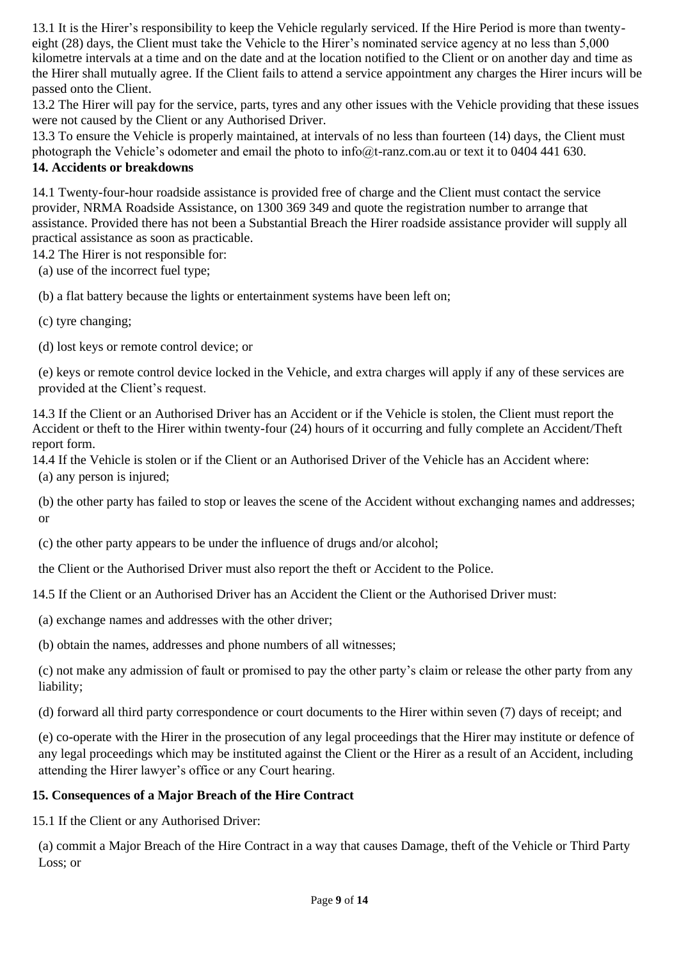13.1 It is the Hirer's responsibility to keep the Vehicle regularly serviced. If the Hire Period is more than twentyeight (28) days, the Client must take the Vehicle to the Hirer's nominated service agency at no less than 5,000 kilometre intervals at a time and on the date and at the location notified to the Client or on another day and time as the Hirer shall mutually agree. If the Client fails to attend a service appointment any charges the Hirer incurs will be passed onto the Client.

13.2 The Hirer will pay for the service, parts, tyres and any other issues with the Vehicle providing that these issues were not caused by the Client or any Authorised Driver.

13.3 To ensure the Vehicle is properly maintained, at intervals of no less than fourteen (14) days, the Client must photograph the Vehicle's odometer and email the photo to info@t-ranz.com.au or text it to 0404 441 630.

# **14. Accidents or breakdowns**

14.1 Twenty-four-hour roadside assistance is provided free of charge and the Client must contact the service provider, NRMA Roadside Assistance, on 1300 369 349 and quote the registration number to arrange that assistance. Provided there has not been a Substantial Breach the Hirer roadside assistance provider will supply all practical assistance as soon as practicable.

14.2 The Hirer is not responsible for:

(a) use of the incorrect fuel type;

(b) a flat battery because the lights or entertainment systems have been left on;

- (c) tyre changing;
- (d) lost keys or remote control device; or

(e) keys or remote control device locked in the Vehicle, and extra charges will apply if any of these services are provided at the Client's request.

14.3 If the Client or an Authorised Driver has an Accident or if the Vehicle is stolen, the Client must report the Accident or theft to the Hirer within twenty-four (24) hours of it occurring and fully complete an Accident/Theft report form.

14.4 If the Vehicle is stolen or if the Client or an Authorised Driver of the Vehicle has an Accident where: (a) any person is injured;

(b) the other party has failed to stop or leaves the scene of the Accident without exchanging names and addresses; or

(c) the other party appears to be under the influence of drugs and/or alcohol;

the Client or the Authorised Driver must also report the theft or Accident to the Police.

14.5 If the Client or an Authorised Driver has an Accident the Client or the Authorised Driver must:

(a) exchange names and addresses with the other driver;

(b) obtain the names, addresses and phone numbers of all witnesses;

(c) not make any admission of fault or promised to pay the other party's claim or release the other party from any liability;

(d) forward all third party correspondence or court documents to the Hirer within seven (7) days of receipt; and

(e) co-operate with the Hirer in the prosecution of any legal proceedings that the Hirer may institute or defence of any legal proceedings which may be instituted against the Client or the Hirer as a result of an Accident, including attending the Hirer lawyer's office or any Court hearing.

# **15. Consequences of a Major Breach of the Hire Contract**

15.1 If the Client or any Authorised Driver:

(a) commit a Major Breach of the Hire Contract in a way that causes Damage, theft of the Vehicle or Third Party Loss; or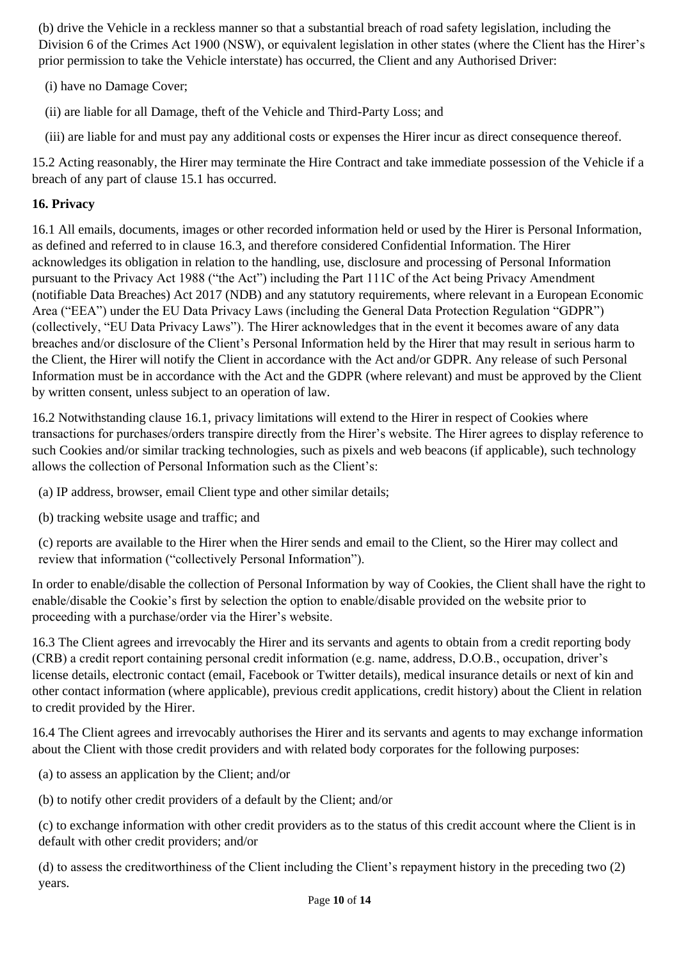(b) drive the Vehicle in a reckless manner so that a substantial breach of road safety legislation, including the Division 6 of the Crimes Act 1900 (NSW), or equivalent legislation in other states (where the Client has the Hirer's prior permission to take the Vehicle interstate) has occurred, the Client and any Authorised Driver:

(i) have no Damage Cover;

(ii) are liable for all Damage, theft of the Vehicle and Third-Party Loss; and

(iii) are liable for and must pay any additional costs or expenses the Hirer incur as direct consequence thereof.

15.2 Acting reasonably, the Hirer may terminate the Hire Contract and take immediate possession of the Vehicle if a breach of any part of clause 15.1 has occurred.

# **16. Privacy**

16.1 All emails, documents, images or other recorded information held or used by the Hirer is Personal Information, as defined and referred to in clause 16.3, and therefore considered Confidential Information. The Hirer acknowledges its obligation in relation to the handling, use, disclosure and processing of Personal Information pursuant to the Privacy Act 1988 ("the Act") including the Part 111C of the Act being Privacy Amendment (notifiable Data Breaches) Act 2017 (NDB) and any statutory requirements, where relevant in a European Economic Area ("EEA") under the EU Data Privacy Laws (including the General Data Protection Regulation "GDPR") (collectively, "EU Data Privacy Laws"). The Hirer acknowledges that in the event it becomes aware of any data breaches and/or disclosure of the Client's Personal Information held by the Hirer that may result in serious harm to the Client, the Hirer will notify the Client in accordance with the Act and/or GDPR. Any release of such Personal Information must be in accordance with the Act and the GDPR (where relevant) and must be approved by the Client by written consent, unless subject to an operation of law.

16.2 Notwithstanding clause 16.1, privacy limitations will extend to the Hirer in respect of Cookies where transactions for purchases/orders transpire directly from the Hirer's website. The Hirer agrees to display reference to such Cookies and/or similar tracking technologies, such as pixels and web beacons (if applicable), such technology allows the collection of Personal Information such as the Client's:

- (a) IP address, browser, email Client type and other similar details;
- (b) tracking website usage and traffic; and

(c) reports are available to the Hirer when the Hirer sends and email to the Client, so the Hirer may collect and review that information ("collectively Personal Information").

In order to enable/disable the collection of Personal Information by way of Cookies, the Client shall have the right to enable/disable the Cookie's first by selection the option to enable/disable provided on the website prior to proceeding with a purchase/order via the Hirer's website.

16.3 The Client agrees and irrevocably the Hirer and its servants and agents to obtain from a credit reporting body (CRB) a credit report containing personal credit information (e.g. name, address, D.O.B., occupation, driver's license details, electronic contact (email, Facebook or Twitter details), medical insurance details or next of kin and other contact information (where applicable), previous credit applications, credit history) about the Client in relation to credit provided by the Hirer.

16.4 The Client agrees and irrevocably authorises the Hirer and its servants and agents to may exchange information about the Client with those credit providers and with related body corporates for the following purposes:

(a) to assess an application by the Client; and/or

(b) to notify other credit providers of a default by the Client; and/or

(c) to exchange information with other credit providers as to the status of this credit account where the Client is in default with other credit providers; and/or

(d) to assess the creditworthiness of the Client including the Client's repayment history in the preceding two (2) years.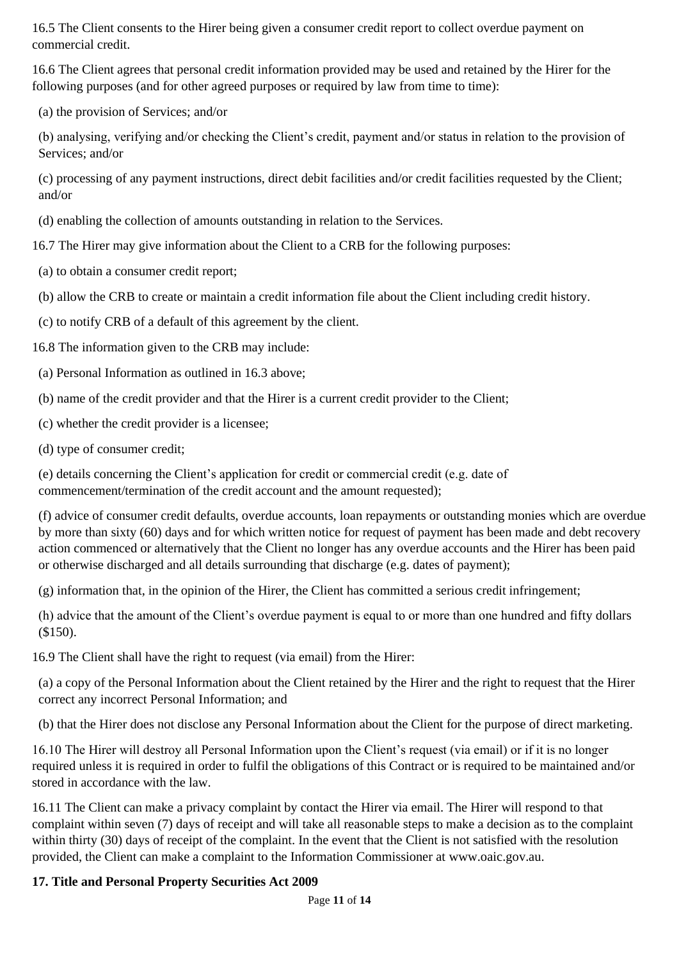16.5 The Client consents to the Hirer being given a consumer credit report to collect overdue payment on commercial credit.

16.6 The Client agrees that personal credit information provided may be used and retained by the Hirer for the following purposes (and for other agreed purposes or required by law from time to time):

(a) the provision of Services; and/or

(b) analysing, verifying and/or checking the Client's credit, payment and/or status in relation to the provision of Services; and/or

(c) processing of any payment instructions, direct debit facilities and/or credit facilities requested by the Client; and/or

(d) enabling the collection of amounts outstanding in relation to the Services.

16.7 The Hirer may give information about the Client to a CRB for the following purposes:

- (a) to obtain a consumer credit report;
- (b) allow the CRB to create or maintain a credit information file about the Client including credit history.
- (c) to notify CRB of a default of this agreement by the client.

16.8 The information given to the CRB may include:

- (a) Personal Information as outlined in 16.3 above;
- (b) name of the credit provider and that the Hirer is a current credit provider to the Client;
- (c) whether the credit provider is a licensee;
- (d) type of consumer credit;

(e) details concerning the Client's application for credit or commercial credit (e.g. date of commencement/termination of the credit account and the amount requested);

(f) advice of consumer credit defaults, overdue accounts, loan repayments or outstanding monies which are overdue by more than sixty (60) days and for which written notice for request of payment has been made and debt recovery action commenced or alternatively that the Client no longer has any overdue accounts and the Hirer has been paid or otherwise discharged and all details surrounding that discharge (e.g. dates of payment);

(g) information that, in the opinion of the Hirer, the Client has committed a serious credit infringement;

(h) advice that the amount of the Client's overdue payment is equal to or more than one hundred and fifty dollars (\$150).

16.9 The Client shall have the right to request (via email) from the Hirer:

(a) a copy of the Personal Information about the Client retained by the Hirer and the right to request that the Hirer correct any incorrect Personal Information; and

(b) that the Hirer does not disclose any Personal Information about the Client for the purpose of direct marketing.

16.10 The Hirer will destroy all Personal Information upon the Client's request (via email) or if it is no longer required unless it is required in order to fulfil the obligations of this Contract or is required to be maintained and/or stored in accordance with the law.

16.11 The Client can make a privacy complaint by contact the Hirer via email. The Hirer will respond to that complaint within seven (7) days of receipt and will take all reasonable steps to make a decision as to the complaint within thirty (30) days of receipt of the complaint. In the event that the Client is not satisfied with the resolution provided, the Client can make a complaint to the Information Commissioner at [www.oaic.gov.au.](http://www.oaic.gov.au/)

# **17. Title and Personal Property Securities Act 2009**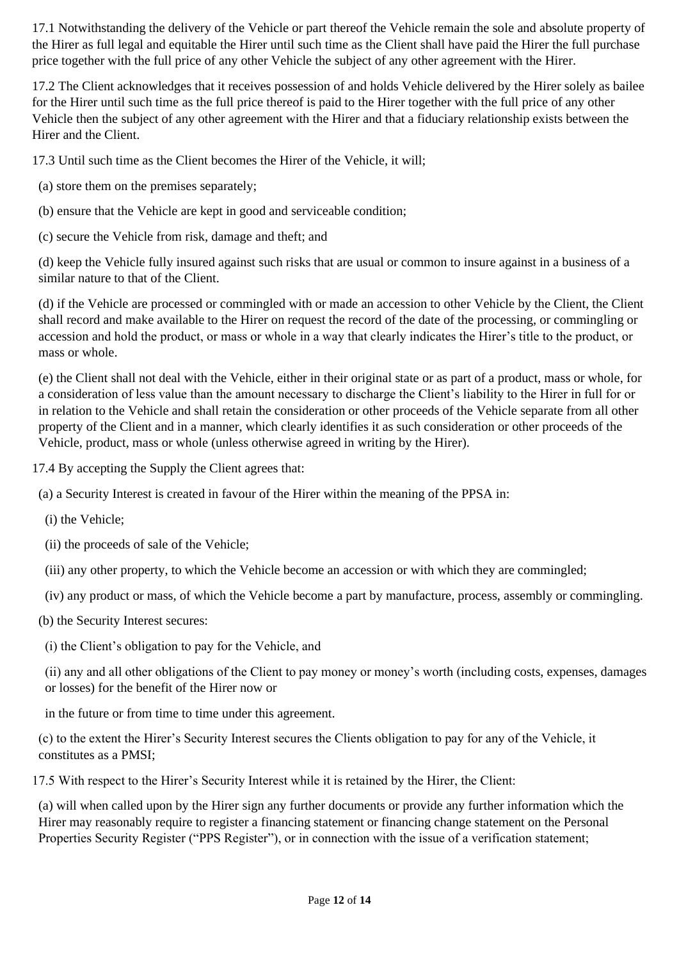17.1 Notwithstanding the delivery of the Vehicle or part thereof the Vehicle remain the sole and absolute property of the Hirer as full legal and equitable the Hirer until such time as the Client shall have paid the Hirer the full purchase price together with the full price of any other Vehicle the subject of any other agreement with the Hirer.

17.2 The Client acknowledges that it receives possession of and holds Vehicle delivered by the Hirer solely as bailee for the Hirer until such time as the full price thereof is paid to the Hirer together with the full price of any other Vehicle then the subject of any other agreement with the Hirer and that a fiduciary relationship exists between the Hirer and the Client.

17.3 Until such time as the Client becomes the Hirer of the Vehicle, it will;

- (a) store them on the premises separately;
- (b) ensure that the Vehicle are kept in good and serviceable condition;
- (c) secure the Vehicle from risk, damage and theft; and

(d) keep the Vehicle fully insured against such risks that are usual or common to insure against in a business of a similar nature to that of the Client.

(d) if the Vehicle are processed or commingled with or made an accession to other Vehicle by the Client, the Client shall record and make available to the Hirer on request the record of the date of the processing, or commingling or accession and hold the product, or mass or whole in a way that clearly indicates the Hirer's title to the product, or mass or whole.

(e) the Client shall not deal with the Vehicle, either in their original state or as part of a product, mass or whole, for a consideration of less value than the amount necessary to discharge the Client's liability to the Hirer in full for or in relation to the Vehicle and shall retain the consideration or other proceeds of the Vehicle separate from all other property of the Client and in a manner, which clearly identifies it as such consideration or other proceeds of the Vehicle, product, mass or whole (unless otherwise agreed in writing by the Hirer).

17.4 By accepting the Supply the Client agrees that:

(a) a Security Interest is created in favour of the Hirer within the meaning of the PPSA in:

- (i) the Vehicle;
- (ii) the proceeds of sale of the Vehicle;
- (iii) any other property, to which the Vehicle become an accession or with which they are commingled;
- (iv) any product or mass, of which the Vehicle become a part by manufacture, process, assembly or commingling.
- (b) the Security Interest secures:
- (i) the Client's obligation to pay for the Vehicle, and

(ii) any and all other obligations of the Client to pay money or money's worth (including costs, expenses, damages or losses) for the benefit of the Hirer now or

in the future or from time to time under this agreement.

(c) to the extent the Hirer's Security Interest secures the Clients obligation to pay for any of the Vehicle, it constitutes as a PMSI;

17.5 With respect to the Hirer's Security Interest while it is retained by the Hirer, the Client:

(a) will when called upon by the Hirer sign any further documents or provide any further information which the Hirer may reasonably require to register a financing statement or financing change statement on the Personal Properties Security Register ("PPS Register"), or in connection with the issue of a verification statement;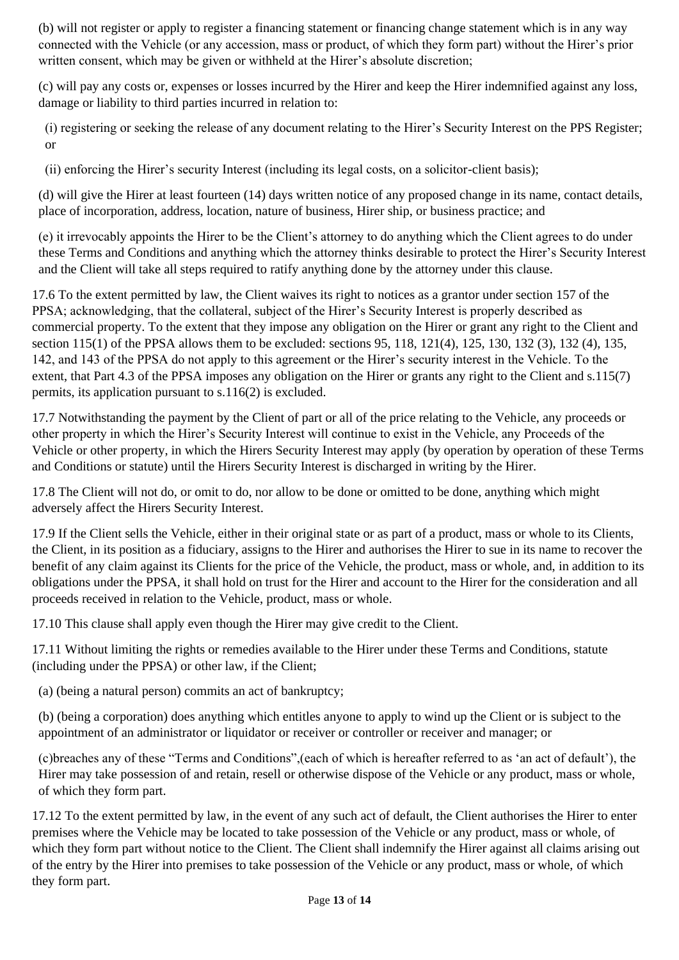(b) will not register or apply to register a financing statement or financing change statement which is in any way connected with the Vehicle (or any accession, mass or product, of which they form part) without the Hirer's prior written consent, which may be given or withheld at the Hirer's absolute discretion;

(c) will pay any costs or, expenses or losses incurred by the Hirer and keep the Hirer indemnified against any loss, damage or liability to third parties incurred in relation to:

(i) registering or seeking the release of any document relating to the Hirer's Security Interest on the PPS Register; or

(ii) enforcing the Hirer's security Interest (including its legal costs, on a solicitor-client basis);

(d) will give the Hirer at least fourteen (14) days written notice of any proposed change in its name, contact details, place of incorporation, address, location, nature of business, Hirer ship, or business practice; and

(e) it irrevocably appoints the Hirer to be the Client's attorney to do anything which the Client agrees to do under these Terms and Conditions and anything which the attorney thinks desirable to protect the Hirer's Security Interest and the Client will take all steps required to ratify anything done by the attorney under this clause.

17.6 To the extent permitted by law, the Client waives its right to notices as a grantor under section 157 of the PPSA; acknowledging, that the collateral, subject of the Hirer's Security Interest is properly described as commercial property. To the extent that they impose any obligation on the Hirer or grant any right to the Client and section 115(1) of the PPSA allows them to be excluded: sections 95, 118, 121(4), 125, 130, 132 (3), 132 (4), 135, 142, and 143 of the PPSA do not apply to this agreement or the Hirer's security interest in the Vehicle. To the extent, that Part 4.3 of the PPSA imposes any obligation on the Hirer or grants any right to the Client and s.115(7) permits, its application pursuant to s.116(2) is excluded.

17.7 Notwithstanding the payment by the Client of part or all of the price relating to the Vehicle, any proceeds or other property in which the Hirer's Security Interest will continue to exist in the Vehicle, any Proceeds of the Vehicle or other property, in which the Hirers Security Interest may apply (by operation by operation of these Terms and Conditions or statute) until the Hirers Security Interest is discharged in writing by the Hirer.

17.8 The Client will not do, or omit to do, nor allow to be done or omitted to be done, anything which might adversely affect the Hirers Security Interest.

17.9 If the Client sells the Vehicle, either in their original state or as part of a product, mass or whole to its Clients, the Client, in its position as a fiduciary, assigns to the Hirer and authorises the Hirer to sue in its name to recover the benefit of any claim against its Clients for the price of the Vehicle, the product, mass or whole, and, in addition to its obligations under the PPSA, it shall hold on trust for the Hirer and account to the Hirer for the consideration and all proceeds received in relation to the Vehicle, product, mass or whole.

17.10 This clause shall apply even though the Hirer may give credit to the Client.

17.11 Without limiting the rights or remedies available to the Hirer under these Terms and Conditions, statute (including under the PPSA) or other law, if the Client;

(a) (being a natural person) commits an act of bankruptcy;

(b) (being a corporation) does anything which entitles anyone to apply to wind up the Client or is subject to the appointment of an administrator or liquidator or receiver or controller or receiver and manager; or

(c)breaches any of these "Terms and Conditions",(each of which is hereafter referred to as 'an act of default'), the Hirer may take possession of and retain, resell or otherwise dispose of the Vehicle or any product, mass or whole, of which they form part.

17.12 To the extent permitted by law, in the event of any such act of default, the Client authorises the Hirer to enter premises where the Vehicle may be located to take possession of the Vehicle or any product, mass or whole, of which they form part without notice to the Client. The Client shall indemnify the Hirer against all claims arising out of the entry by the Hirer into premises to take possession of the Vehicle or any product, mass or whole, of which they form part.